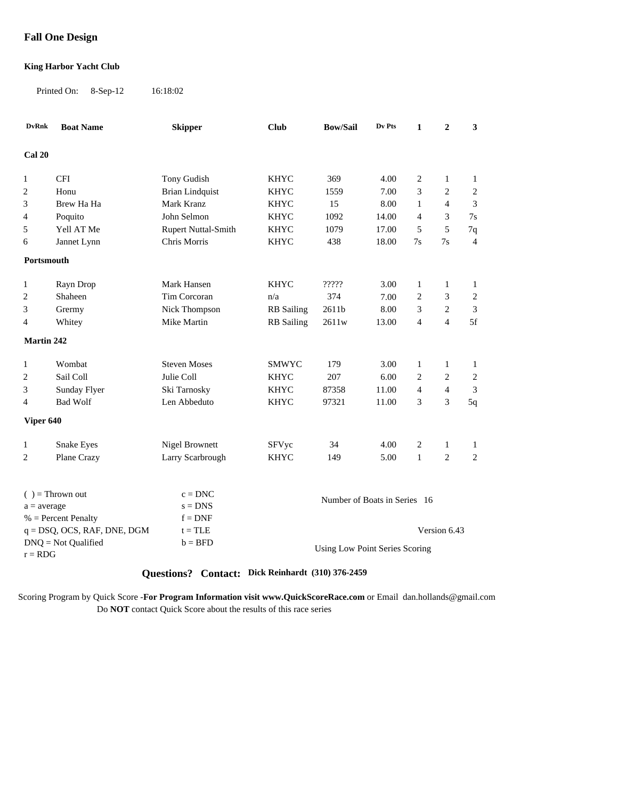# **Fall One Design**

#### **King Harbor Yacht Club**

Printed On: 8-Sep-12 16:18:02

| <b>DvRnk</b>   | <b>Boat Name</b>               | <b>Skipper</b>             | <b>Club</b>                    | <b>Bow/Sail</b>                            | Dv Pts | $\mathbf{1}$   | $\overline{2}$                 | 3                           |
|----------------|--------------------------------|----------------------------|--------------------------------|--------------------------------------------|--------|----------------|--------------------------------|-----------------------------|
| Cal 20         |                                |                            |                                |                                            |        |                |                                |                             |
|                |                                |                            |                                |                                            |        |                |                                |                             |
| 1              | <b>CFI</b>                     | Tony Gudish                | <b>KHYC</b><br><b>KHYC</b>     | 369                                        | 4.00   | 2<br>3         | $\mathbf{1}$<br>$\overline{2}$ | $\mathbf{1}$                |
| $\sqrt{2}$     | Honu                           | <b>Brian Lindquist</b>     |                                | 1559                                       | 7.00   |                |                                | $\mathbf{2}$                |
| 3              | Brew Ha Ha                     | Mark Kranz                 | <b>KHYC</b>                    | 15                                         | 8.00   | $\mathbf{1}$   | 4                              | 3                           |
| $\overline{4}$ | Poquito                        | John Selmon                | <b>KHYC</b>                    | 1092                                       | 14.00  | $\overline{4}$ | 3                              | 7s                          |
| 5              | Yell AT Me                     | <b>Rupert Nuttal-Smith</b> | <b>KHYC</b>                    | 1079                                       | 17.00  | 5              | 5                              | 7q                          |
| 6              | Jannet Lynn                    | <b>Chris Morris</b>        | <b>KHYC</b>                    | 438                                        | 18.00  | 7s             | 7s                             | $\overline{4}$              |
| Portsmouth     |                                |                            |                                |                                            |        |                |                                |                             |
| 1              | Rayn Drop                      | Mark Hansen                | <b>KHYC</b>                    | $\mathop{?}\nolimits?\mathop{?}\nolimits?$ | 3.00   | $\mathbf{1}$   | 1                              | $\mathbf{1}$                |
| $\overline{2}$ | Shaheen                        | Tim Corcoran               | n/a                            | 374                                        | 7.00   | $\overline{c}$ | 3                              | $\overline{c}$              |
| 3              | Grermy                         | Nick Thompson              | <b>RB</b> Sailing              | 2611b                                      | 8.00   | 3              | $\boldsymbol{2}$               | 3                           |
| 4              | Whitey                         | Mike Martin                | <b>RB</b> Sailing              | 2611w                                      | 13.00  | $\overline{4}$ | $\overline{4}$                 | 5f                          |
| Martin 242     |                                |                            |                                |                                            |        |                |                                |                             |
| 1              | Wombat                         | <b>Steven Moses</b>        | <b>SMWYC</b>                   | 179                                        | 3.00   | 1              | 1                              | 1                           |
| $\overline{c}$ | Sail Coll                      | Julie Coll                 | <b>KHYC</b>                    | 207                                        | 6.00   | $\overline{2}$ | $\overline{2}$                 | $\overline{c}$              |
| 3              | Sunday Flyer                   | Ski Tarnosky               | <b>KHYC</b>                    | 87358                                      | 11.00  | $\overline{4}$ | $\overline{4}$                 | $\ensuremath{\mathfrak{Z}}$ |
| $\overline{4}$ | <b>Bad Wolf</b>                | Len Abbeduto               | <b>KHYC</b>                    | 97321                                      | 11.00  | 3              | 3                              | 5q                          |
| Viper 640      |                                |                            |                                |                                            |        |                |                                |                             |
| 1              | Snake Eyes                     | Nigel Brownett             | SFVyc                          | 34                                         | 4.00   | $\mathfrak{2}$ | 1                              | $\mathbf{1}$                |
| 2              | Plane Crazy                    | Larry Scarbrough           | <b>KHYC</b>                    | 149                                        | 5.00   | $\mathbf{1}$   | $\overline{c}$                 | $\overline{c}$              |
|                | $( )$ = Thrown out             | $c = DNC$                  |                                |                                            |        |                |                                |                             |
| $a = average$  |                                | $s = DNS$                  |                                | Number of Boats in Series 16               |        |                |                                |                             |
|                | $%$ = Percent Penalty          | $f = DNF$                  |                                |                                            |        |                |                                |                             |
|                | $q = DSQ$ , OCS, RAF, DNE, DGM | $t = TLE$                  |                                |                                            |        |                | Version 6.43                   |                             |
|                | $DNQ = Not$ Qualified          | $b = BFD$                  |                                |                                            |        |                |                                |                             |
| $r = RDG$      |                                |                            | Using Low Point Series Scoring |                                            |        |                |                                |                             |

# **Questions? Contact: Dick Reinhardt (310) 376-2459**

Scoring Program by Quick Score -**For Program Information visit www.QuickScoreRace.com** or Email dan.hollands@gmail.com Do **NOT** contact Quick Score about the results of this race series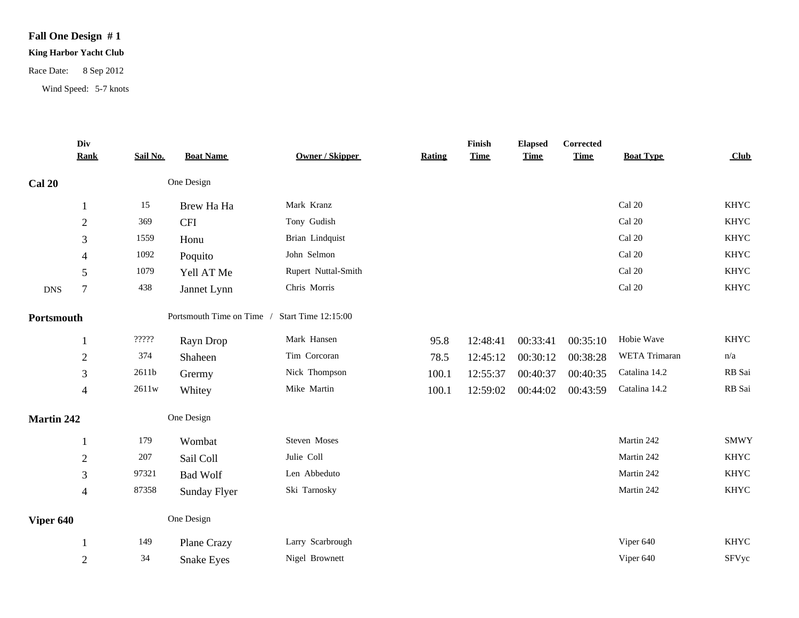# **Fall One Design # 1**

# **King Harbor Yacht Club**

Race Date: 8 Sep 2012

Wind Speed: 5-7 knots

| Div<br><b>Rank</b> | Sail No.                                                    | <b>Boat Name</b>    | <b>Owner / Skipper</b>                 | <b>Rating</b>             | Finish<br><b>Time</b> | <b>Elapsed</b><br><b>Time</b> | <b>Corrected</b><br><b>Time</b> | <b>Boat Type</b> | Club        |
|--------------------|-------------------------------------------------------------|---------------------|----------------------------------------|---------------------------|-----------------------|-------------------------------|---------------------------------|------------------|-------------|
|                    |                                                             |                     |                                        |                           |                       |                               |                                 |                  |             |
|                    | 15                                                          | Brew Ha Ha          | Mark Kranz                             |                           |                       |                               |                                 | Cal 20           | <b>KHYC</b> |
| $\sqrt{2}$         | 369                                                         | <b>CFI</b>          | Tony Gudish                            |                           |                       |                               |                                 | Cal 20           | <b>KHYC</b> |
| 3                  | 1559                                                        | Honu                | Brian Lindquist                        |                           |                       |                               |                                 | Cal 20           | <b>KHYC</b> |
| 4                  | 1092                                                        | Poquito             | John Selmon                            |                           |                       |                               |                                 | Cal 20           | <b>KHYC</b> |
| 5                  | 1079                                                        | Yell AT Me          | Rupert Nuttal-Smith                    |                           |                       |                               |                                 | Cal 20           | <b>KHYC</b> |
| $\boldsymbol{7}$   | 438                                                         | Jannet Lynn         | Chris Morris                           |                           |                       |                               |                                 | Cal 20           | KHYC        |
| Portsmouth         |                                                             |                     | Start Time 12:15:00                    |                           |                       |                               |                                 |                  |             |
| 1                  | $\mathop{?}\nolimits\mathop{?}\nolimits\mathop{?}\nolimits$ | Rayn Drop           | Mark Hansen                            | 95.8                      | 12:48:41              | 00:33:41                      | 00:35:10                        | Hobie Wave       | <b>KHYC</b> |
| $\overline{2}$     | 374                                                         | Shaheen             | Tim Corcoran                           | 78.5                      | 12:45:12              | 00:30:12                      | 00:38:28                        | WETA Trimaran    | n/a         |
| 3                  | 2611b                                                       | Grermy              | Nick Thompson                          | 100.1                     | 12:55:37              | 00:40:37                      | 00:40:35                        | Catalina 14.2    | RB Sai      |
| 4                  | $2611\mathrm{w}$                                            | Whitey              | Mike Martin                            | 100.1                     | 12:59:02              | 00:44:02                      | 00:43:59                        | Catalina 14.2    | RB Sai      |
| <b>Martin 242</b>  |                                                             |                     |                                        |                           |                       |                               |                                 |                  |             |
|                    | 179                                                         | Wombat              | Steven Moses                           |                           |                       |                               |                                 | Martin 242       | <b>SMWY</b> |
| $\sqrt{2}$         | 207                                                         | Sail Coll           | Julie Coll                             |                           |                       |                               |                                 | Martin 242       | KHYC        |
| 3                  | 97321                                                       | <b>Bad Wolf</b>     | Len Abbeduto                           |                           |                       |                               |                                 | Martin 242       | <b>KHYC</b> |
| $\overline{4}$     | 87358                                                       | <b>Sunday Flyer</b> | Ski Tarnosky                           |                           |                       |                               |                                 | Martin 242       | <b>KHYC</b> |
| Viper 640          |                                                             |                     |                                        |                           |                       |                               |                                 |                  |             |
|                    | 149                                                         | Plane Crazy         | Larry Scarbrough                       |                           |                       |                               |                                 | Viper 640        | <b>KHYC</b> |
| $\sqrt{2}$         | 34                                                          | <b>Snake Eyes</b>   | Nigel Brownett                         |                           |                       |                               |                                 | Viper 640        | SFVyc       |
|                    |                                                             |                     | One Design<br>One Design<br>One Design | Portsmouth Time on Time / |                       |                               |                                 |                  |             |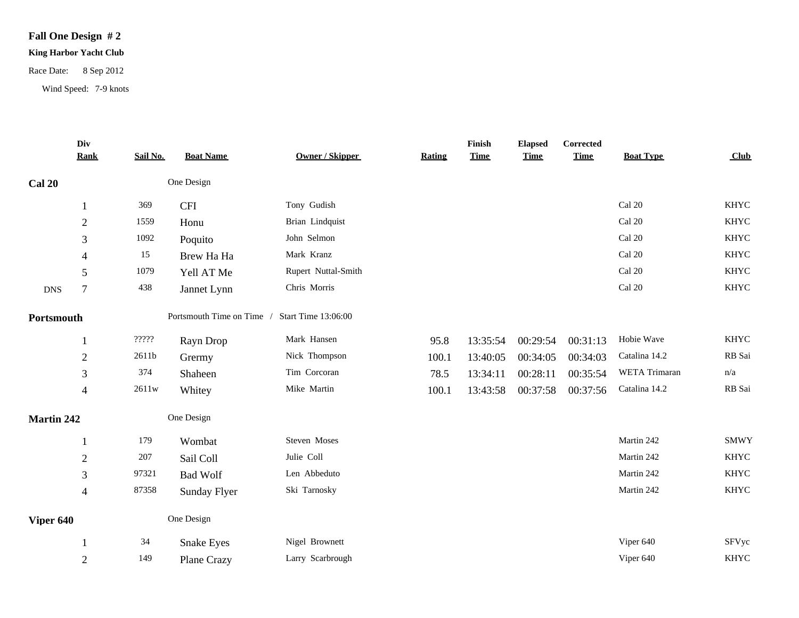# **Fall One Design # 2**

# **King Harbor Yacht Club**

Race Date: 8 Sep 2012

Wind Speed: 7-9 knots

|                   | Div<br><b>Rank</b> | Sail No.                                                    | <b>Boat Name</b>  | <b>Owner / Skipper</b>                        | <b>Rating</b> | Finish<br><b>Time</b> | <b>Elapsed</b><br><b>Time</b> | Corrected<br><b>Time</b> | <b>Boat Type</b>        | Club        |
|-------------------|--------------------|-------------------------------------------------------------|-------------------|-----------------------------------------------|---------------|-----------------------|-------------------------------|--------------------------|-------------------------|-------------|
| <b>Cal 20</b>     |                    |                                                             | One Design        |                                               |               |                       |                               |                          |                         |             |
|                   | 1                  | 369                                                         | <b>CFI</b>        | Tony Gudish                                   |               |                       |                               |                          | Cal 20                  | KHYC        |
|                   | $\overline{2}$     | 1559                                                        | Honu              | Brian Lindquist                               |               |                       |                               |                          | Cal 20                  | <b>KHYC</b> |
|                   | $\mathfrak{Z}$     | 1092                                                        | Poquito           | John Selmon                                   |               |                       |                               |                          | Cal 20                  | <b>KHYC</b> |
|                   | 4                  | 15                                                          | Brew Ha Ha        | Mark Kranz                                    |               |                       |                               |                          | Cal 20                  | <b>KHYC</b> |
|                   | 5                  | 1079                                                        | Yell AT Me        | Rupert Nuttal-Smith                           |               |                       |                               |                          | Cal 20                  | <b>KHYC</b> |
| <b>DNS</b>        | $\overline{7}$     | 438                                                         | Jannet Lynn       | Chris Morris                                  |               |                       |                               |                          | $\operatorname{Cal}$ 20 | KHYC        |
| Portsmouth        |                    |                                                             |                   | Portsmouth Time on Time / Start Time 13:06:00 |               |                       |                               |                          |                         |             |
|                   |                    | $\mathop{?}\nolimits\mathop{?}\nolimits\mathop{?}\nolimits$ | Rayn Drop         | Mark Hansen                                   | 95.8          | 13:35:54              | 00:29:54                      | 00:31:13                 | Hobie Wave              | <b>KHYC</b> |
|                   | $\sqrt{2}$         | $2611b$                                                     | Grermy            | Nick Thompson                                 | 100.1         | 13:40:05              | 00:34:05                      | 00:34:03                 | Catalina 14.2           | RB Sai      |
|                   | 3                  | 374                                                         | Shaheen           | Tim Corcoran                                  | 78.5          | 13:34:11              | 00:28:11                      | 00:35:54                 | WETA Trimaran           | n/a         |
|                   | 4                  | $2611\mathrm{w}$                                            | Whitey            | Mike Martin                                   | 100.1         | 13:43:58              | 00:37:58                      | 00:37:56                 | Catalina 14.2           | RB Sai      |
| <b>Martin 242</b> |                    |                                                             | One Design        |                                               |               |                       |                               |                          |                         |             |
|                   |                    | 179                                                         | Wombat            | Steven Moses                                  |               |                       |                               |                          | Martin 242              | <b>SMWY</b> |
|                   | $\sqrt{2}$         | 207                                                         | Sail Coll         | Julie Coll                                    |               |                       |                               |                          | Martin 242              | <b>KHYC</b> |
|                   | 3                  | 97321                                                       | <b>Bad Wolf</b>   | Len Abbeduto                                  |               |                       |                               |                          | Martin 242              | <b>KHYC</b> |
|                   | $\overline{4}$     | 87358                                                       | Sunday Flyer      | Ski Tarnosky                                  |               |                       |                               |                          | Martin 242              | <b>KHYC</b> |
| Viper 640         |                    |                                                             | One Design        |                                               |               |                       |                               |                          |                         |             |
|                   |                    | 34                                                          | <b>Snake Eyes</b> | Nigel Brownett                                |               |                       |                               |                          | Viper 640               | SFVyc       |
|                   | $\overline{2}$     | 149                                                         | Plane Crazy       | Larry Scarbrough                              |               |                       |                               |                          | Viper 640               | KHYC        |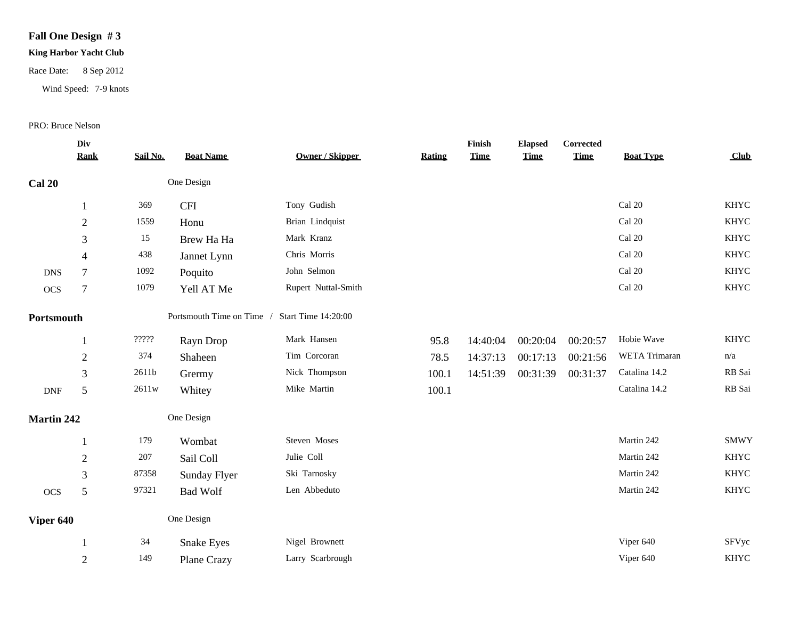# **Fall One Design # 3**

#### **King Harbor Yacht Club**

# Race Date: 8 Sep 2012

Wind Speed: 7-9 knots

#### PRO: Bruce Nelson

| <b>Rank</b>       | Sail No.                                                    | <b>Boat Name</b>  | <b>Owner / Skipper</b>                 | <b>Rating</b>           | <b>Time</b> | <b>Elapsed</b><br><b>Time</b> | <b>Time</b>          | <b>Boat Type</b>        | Club        |
|-------------------|-------------------------------------------------------------|-------------------|----------------------------------------|-------------------------|-------------|-------------------------------|----------------------|-------------------------|-------------|
|                   |                                                             |                   |                                        |                         |             |                               |                      |                         |             |
| -1                | 369                                                         | <b>CFI</b>        | Tony Gudish                            |                         |             |                               |                      | Cal 20                  | <b>KHYC</b> |
| $\sqrt{2}$        | 1559                                                        | Honu              | Brian Lindquist                        |                         |             |                               |                      | Cal 20                  | <b>KHYC</b> |
| $\mathfrak{Z}$    | 15                                                          | Brew Ha Ha        | Mark Kranz                             |                         |             |                               |                      | $\operatorname{Cal}$ 20 | <b>KHYC</b> |
| $\overline{4}$    | 438                                                         | Jannet Lynn       | Chris Morris                           |                         |             |                               |                      | Cal 20                  | <b>KHYC</b> |
| $\overline{7}$    | 1092                                                        | Poquito           | John Selmon                            |                         |             |                               |                      | Cal 20                  | <b>KHYC</b> |
| $\overline{7}$    | 1079                                                        | Yell AT Me        | Rupert Nuttal-Smith                    |                         |             |                               |                      | Cal 20                  | KHYC        |
| Portsmouth        |                                                             |                   | Start Time 14:20:00                    |                         |             |                               |                      |                         |             |
|                   | $\mathop{?}\nolimits\mathop{?}\nolimits\mathop{?}\nolimits$ | Rayn Drop         | Mark Hansen                            | 95.8                    | 14:40:04    |                               | 00:20:57             | Hobie Wave              | <b>KHYC</b> |
| $\overline{2}$    | 374                                                         | Shaheen           | Tim Corcoran                           | 78.5                    | 14:37:13    | 00:17:13                      | 00:21:56             | WETA Trimaran           | n/a         |
| 3                 | 2611b                                                       | Grermy            | Nick Thompson                          | 100.1                   | 14:51:39    |                               | 00:31:37             | Catalina 14.2           | RB Sai      |
| 5                 | 2611w                                                       | Whitey            | Mike Martin                            | 100.1                   |             |                               |                      | Catalina 14.2           | RB Sai      |
| <b>Martin 242</b> |                                                             |                   |                                        |                         |             |                               |                      |                         |             |
|                   | 179                                                         | Wombat            | Steven Moses                           |                         |             |                               |                      | Martin 242              | <b>SMWY</b> |
| $\sqrt{2}$        | 207                                                         | Sail Coll         | Julie Coll                             |                         |             |                               |                      | Martin 242              | <b>KHYC</b> |
| 3                 | 87358                                                       | Sunday Flyer      | Ski Tarnosky                           |                         |             |                               |                      | Martin 242              | <b>KHYC</b> |
| 5                 | 97321                                                       | <b>Bad Wolf</b>   | Len Abbeduto                           |                         |             |                               |                      | Martin 242              | <b>KHYC</b> |
| Viper 640         |                                                             |                   |                                        |                         |             |                               |                      |                         |             |
|                   | 34                                                          | <b>Snake Eyes</b> | Nigel Brownett                         |                         |             |                               |                      | Viper 640               | SFVyc       |
| $\overline{2}$    | 149                                                         | Plane Crazy       | Larry Scarbrough                       |                         |             |                               |                      | Viper 640               | <b>KHYC</b> |
|                   | Div                                                         |                   | One Design<br>One Design<br>One Design | Portsmouth Time on Time |             | Finish                        | 00:20:04<br>00:31:39 | Corrected               |             |